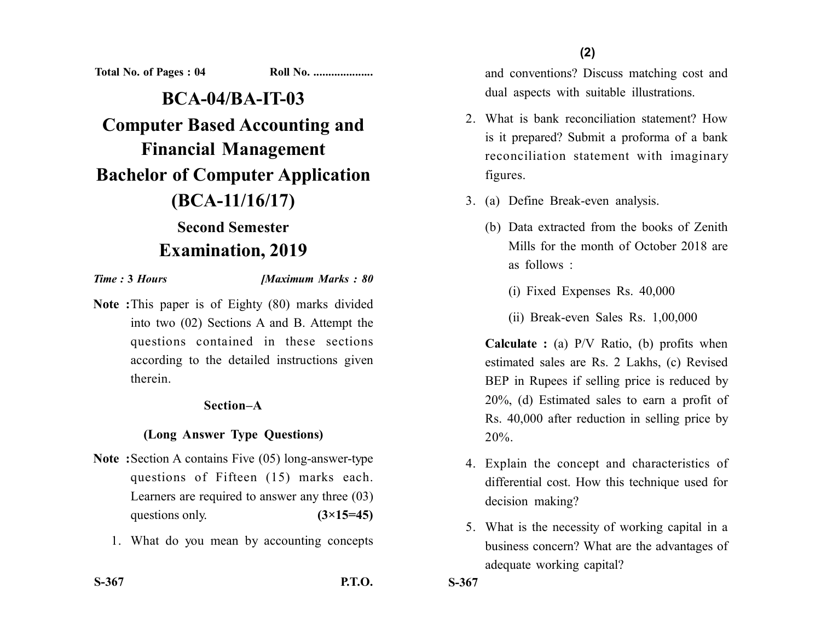**Total No. of Pages : 04 Roll No. ...................** 

**BCA-04/BA-IT-03 Computer Based Accounting and Financial Management Bachelor of Computer Application (BCA-11/16/17) Second Semester**

# **Examination, 2019**

*Time :* **3** *Hours [Maximum Marks : 80*

**Note :**This paper is of Eighty (80) marks divided into two (02) Sections A and B. Attempt the questions contained in these sections according to the detailed instructions given therein.

## **Section–A**

# **(Long Answer Type Questions)**

- **Note :**Section A contains Five (05) long-answer-type questions of Fifteen (15) marks each. Learners are required to answer any three (03) questions only. **(3×15=45)** 
	- 1. What do you mean by accounting concepts

and conventions? Discuss matching cost and dual aspects with suitable illustrations.

- 2. What is bank reconciliation statement? How is it prepared? Submit a proforma of a bank reconciliation statement with imaginary figures.
- 3. (a) Define Break-even analysis.
	- (b) Data extracted from the books of Zenith Mills for the month of October 2018 are as follows :
		- (i) Fixed Expenses Rs. 40,000
		- (ii) Break-even Sales Rs. 1,00,000

**Calculate :** (a) P/V Ratio, (b) profits when estimated sales are Rs. 2 Lakhs, (c) Revised BEP in Rupees if selling price is reduced by 20%, (d) Estimated sales to earn a profit of Rs. 40,000 after reduction in selling price by 20%.

- 4. Explain the concept and characteristics of differential cost. How this technique used for decision making?
- 5. What is the necessity of working capital in a business concern? What are the advantages of adequate working capital?

**S-367**